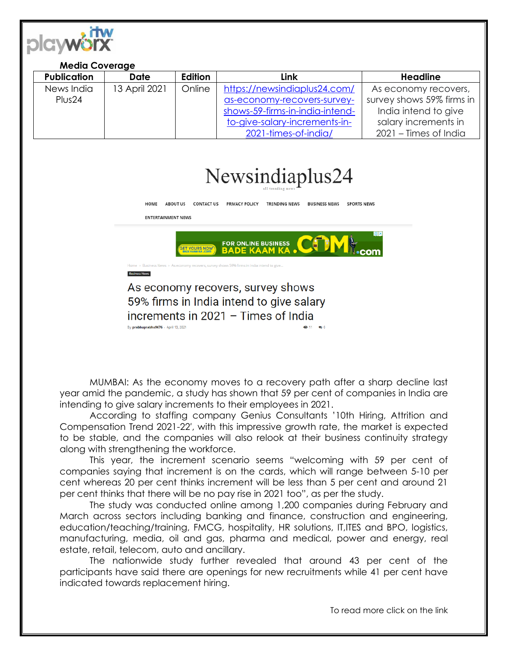

| <b>Media Coverage</b> |               |         |                                 |                           |
|-----------------------|---------------|---------|---------------------------------|---------------------------|
| <b>Publication</b>    | Date          | Edition | Link                            | <b>Headline</b>           |
| News India            | 13 April 2021 | Online  | https://newsindiaplus24.com/    | As economy recovers,      |
| Plus <sub>24</sub>    |               |         | as-economy-recovers-survey-     | survey shows 59% firms in |
|                       |               |         | shows-59-firms-in-india-intend- | India intend to give      |
|                       |               |         | to-give-salary-increments-in-   | salary increments in      |
|                       |               |         | 2021-times-of-india/            | 2021 – Times of India     |



**ENTERTAINMENT NEWS** FOR ONLINE BUSINESS

**Business News** 

As economy recovers, survey shows 59% firms in India intend to give salary increments in 2021 - Times of India By prabhuprabhu9676 - April 13, 2021  $611 - 610$ 

MUMBAI: As the economy moves to a recovery path after a sharp decline last year amid the pandemic, a study has shown that 59 per cent of companies in India are intending to give salary increments to their employees in 2021.

According to staffing company Genius Consultants '10th Hiring, Attrition and Compensation Trend 2021-22′, with this impressive growth rate, the market is expected to be stable, and the companies will also relook at their business continuity strategy along with strengthening the workforce.

This year, the increment scenario seems "welcoming with 59 per cent of companies saying that increment is on the cards, which will range between 5-10 per cent whereas 20 per cent thinks increment will be less than 5 per cent and around 21 per cent thinks that there will be no pay rise in 2021 too", as per the study.

The study was conducted online among 1,200 companies during February and March across sectors including banking and finance, construction and engineering, education/teaching/training, FMCG, hospitality, HR solutions, IT,ITES and BPO, logistics, manufacturing, media, oil and gas, pharma and medical, power and energy, real estate, retail, telecom, auto and ancillary.

The nationwide study further revealed that around 43 per cent of the participants have said there are openings for new recruitments while 41 per cent have indicated towards replacement hiring.

To read more click on the link